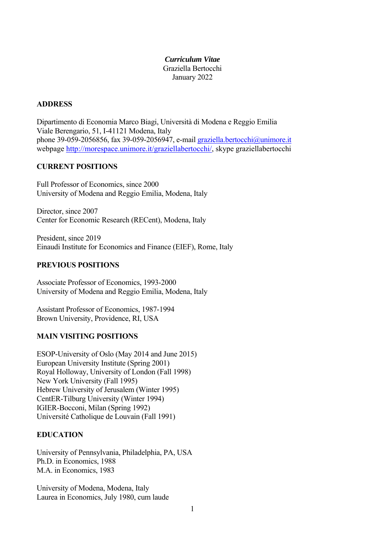#### *Curriculum Vitae*  Graziella Bertocchi January 2022

#### **ADDRESS**

Dipartimento di Economia Marco Biagi, Università di Modena e Reggio Emilia Viale Berengario, 51, I-41121 Modena, Italy phone 39-059-2056856, fax 39-059-2056947, e-mail graziella.bertocchi@unimore.it webpage http://morespace.unimore.it/graziellabertocchi/, skype graziellabertocchi

#### **CURRENT POSITIONS**

Full Professor of Economics, since 2000 University of Modena and Reggio Emilia, Modena, Italy

Director, since 2007 Center for Economic Research (RECent), Modena, Italy

President, since 2019 Einaudi Institute for Economics and Finance (EIEF), Rome, Italy

## **PREVIOUS POSITIONS**

Associate Professor of Economics, 1993-2000 University of Modena and Reggio Emilia, Modena, Italy

Assistant Professor of Economics, 1987-1994 Brown University, Providence, RI, USA

## **MAIN VISITING POSITIONS**

ESOP-University of Oslo (May 2014 and June 2015) European University Institute (Spring 2001) Royal Holloway, University of London (Fall 1998) New York University (Fall 1995) Hebrew University of Jerusalem (Winter 1995) CentER-Tilburg University (Winter 1994) IGIER-Bocconi, Milan (Spring 1992) Université Catholique de Louvain (Fall 1991)

#### **EDUCATION**

University of Pennsylvania, Philadelphia, PA, USA Ph.D. in Economics, 1988 M.A. in Economics, 1983

University of Modena, Modena, Italy Laurea in Economics, July 1980, cum laude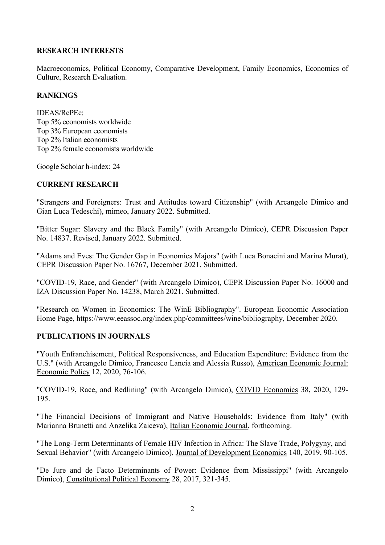# **RESEARCH INTERESTS**

Macroeconomics, Political Economy, Comparative Development, Family Economics, Economics of Culture, Research Evaluation.

#### **RANKINGS**

IDEAS/RePEc: Top 5% economists worldwide Top 3% European economists Top 2% Italian economists Top 2% female economists worldwide

Google Scholar h-index: 24

#### **CURRENT RESEARCH**

"Strangers and Foreigners: Trust and Attitudes toward Citizenship" (with Arcangelo Dimico and Gian Luca Tedeschi), mimeo, January 2022. Submitted.

"Bitter Sugar: Slavery and the Black Family" (with Arcangelo Dimico), CEPR Discussion Paper No. 14837. Revised, January 2022. Submitted.

"Adams and Eves: The Gender Gap in Economics Majors" (with Luca Bonacini and Marina Murat), CEPR Discussion Paper No. 16767, December 2021. Submitted.

"COVID-19, Race, and Gender" (with Arcangelo Dimico), CEPR Discussion Paper No. 16000 and IZA Discussion Paper No. 14238, March 2021. Submitted.

"Research on Women in Economics: The WinE Bibliography". European Economic Association Home Page, https://www.eeassoc.org/index.php/committees/wine/bibliography, December 2020.

#### **PUBLICATIONS IN JOURNALS**

"Youth Enfranchisement, Political Responsiveness, and Education Expenditure: Evidence from the U.S." (with Arcangelo Dimico, Francesco Lancia and Alessia Russo), American Economic Journal: Economic Policy 12, 2020, 76-106.

"COVID-19, Race, and Redlining" (with Arcangelo Dimico), COVID Economics 38, 2020, 129- 195.

"The Financial Decisions of Immigrant and Native Households: Evidence from Italy" (with Marianna Brunetti and Anzelika Zaiceva), Italian Economic Journal, forthcoming.

"The Long-Term Determinants of Female HIV Infection in Africa: The Slave Trade, Polygyny, and Sexual Behavior" (with Arcangelo Dimico), Journal of Development Economics 140, 2019, 90-105.

"De Jure and de Facto Determinants of Power: Evidence from Mississippi" (with Arcangelo Dimico), Constitutional Political Economy 28, 2017, 321-345.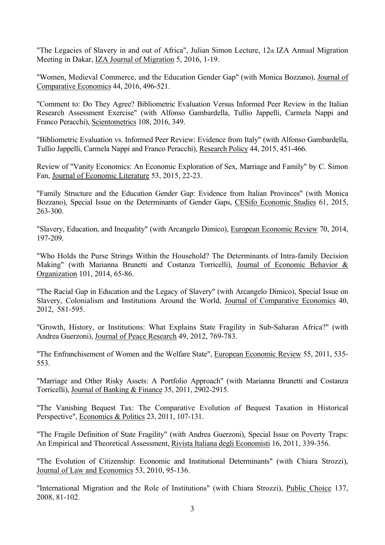"The Legacies of Slavery in and out of Africa", Julian Simon Lecture, 12th IZA Annual Migration Meeting in Dakar, IZA Journal of Migration 5, 2016, 1-19.

"Women, Medieval Commerce, and the Education Gender Gap" (with Monica Bozzano), Journal of Comparative Economics 44, 2016, 496-521.

"Comment to: Do They Agree? Bibliometric Evaluation Versus Informed Peer Review in the Italian Research Assessment Exercise" (with Alfonso Gambardella, Tullio Jappelli, Carmela Nappi and Franco Peracchi), Scientometrics 108, 2016, 349.

"Bibliometric Evaluation vs. Informed Peer Review: Evidence from Italy" (with Alfonso Gambardella, Tullio Jappelli, Carmela Nappi and Franco Peracchi), Research Policy 44, 2015, 451-466.

Review of "Vanity Economics: An Economic Exploration of Sex, Marriage and Family" by C. Simon Fan, Journal of Economic Literature 53, 2015, 22-23.

"Family Structure and the Education Gender Gap: Evidence from Italian Provinces" (with Monica Bozzano), Special Issue on the Determinants of Gender Gaps, CESifo Economic Studies 61, 2015, 263-300.

"Slavery, Education, and Inequality" (with Arcangelo Dimico), European Economic Review 70, 2014, 197-209.

"Who Holds the Purse Strings Within the Household? The Determinants of Intra-family Decision Making" (with Marianna Brunetti and Costanza Torricelli), Journal of Economic Behavior & Organization 101, 2014, 65-86.

"The Racial Gap in Education and the Legacy of Slavery" (with Arcangelo Dimico), Special Issue on Slavery, Colonialism and Institutions Around the World, Journal of Comparative Economics 40, 2012, 581-595.

"Growth, History, or Institutions: What Explains State Fragility in Sub-Saharan Africa?" (with Andrea Guerzoni), Journal of Peace Research 49, 2012, 769-783.

"The Enfranchisement of Women and the Welfare State", European Economic Review 55, 2011, 535- 553.

"Marriage and Other Risky Assets: A Portfolio Approach" (with Marianna Brunetti and Costanza Torricelli), Journal of Banking & Finance 35, 2011, 2902-2915.

"The Vanishing Bequest Tax: The Comparative Evolution of Bequest Taxation in Historical Perspective", Economics & Politics 23, 2011, 107-131.

"The Fragile Definition of State Fragility" (with Andrea Guerzoni), Special Issue on Poverty Traps: An Empirical and Theoretical Assessment, Rivista Italiana degli Economisti 16, 2011, 339-356.

"The Evolution of Citizenship: Economic and Institutional Determinants" (with Chiara Strozzi), Journal of Law and Economics 53, 2010, 95-136.

"International Migration and the Role of Institutions" (with Chiara Strozzi), Public Choice 137, 2008, 81-102.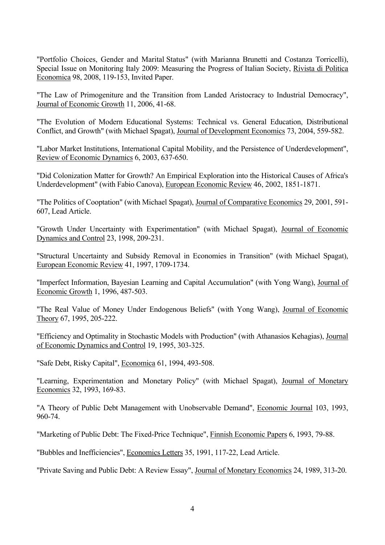"Portfolio Choices, Gender and Marital Status" (with Marianna Brunetti and Costanza Torricelli), Special Issue on Monitoring Italy 2009: Measuring the Progress of Italian Society, Rivista di Politica Economica 98, 2008, 119-153, Invited Paper.

"The Law of Primogeniture and the Transition from Landed Aristocracy to Industrial Democracy", Journal of Economic Growth 11, 2006, 41-68.

"The Evolution of Modern Educational Systems: Technical vs. General Education, Distributional Conflict, and Growth" (with Michael Spagat), Journal of Development Economics 73, 2004, 559-582.

"Labor Market Institutions, International Capital Mobility, and the Persistence of Underdevelopment", Review of Economic Dynamics 6, 2003, 637-650.

"Did Colonization Matter for Growth? An Empirical Exploration into the Historical Causes of Africa's Underdevelopment" (with Fabio Canova), European Economic Review 46, 2002, 1851-1871.

"The Politics of Cooptation" (with Michael Spagat), Journal of Comparative Economics 29, 2001, 591- 607, Lead Article.

"Growth Under Uncertainty with Experimentation" (with Michael Spagat), Journal of Economic Dynamics and Control 23, 1998, 209-231.

"Structural Uncertainty and Subsidy Removal in Economies in Transition" (with Michael Spagat), European Economic Review 41, 1997, 1709-1734.

"Imperfect Information, Bayesian Learning and Capital Accumulation" (with Yong Wang), Journal of Economic Growth 1, 1996, 487-503.

"The Real Value of Money Under Endogenous Beliefs" (with Yong Wang), Journal of Economic Theory 67, 1995, 205-222.

"Efficiency and Optimality in Stochastic Models with Production" (with Athanasios Kehagias), Journal of Economic Dynamics and Control 19, 1995, 303-325.

"Safe Debt, Risky Capital", Economica 61, 1994, 493-508.

"Learning, Experimentation and Monetary Policy" (with Michael Spagat), Journal of Monetary Economics 32, 1993, 169-83.

"A Theory of Public Debt Management with Unobservable Demand", Economic Journal 103, 1993, 960-74.

"Marketing of Public Debt: The Fixed-Price Technique", Finnish Economic Papers 6, 1993, 79-88.

"Bubbles and Inefficiencies", Economics Letters 35, 1991, 117-22, Lead Article.

"Private Saving and Public Debt: A Review Essay", Journal of Monetary Economics 24, 1989, 313-20.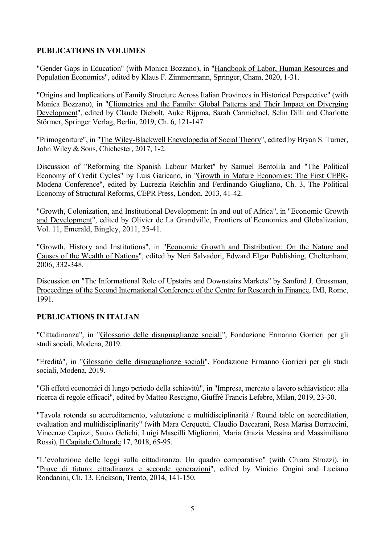## **PUBLICATIONS IN VOLUMES**

"Gender Gaps in Education" (with Monica Bozzano), in "Handbook of Labor, Human Resources and Population Economics", edited by Klaus F. Zimmermann, Springer, Cham, 2020, 1-31.

"Origins and Implications of Family Structure Across Italian Provinces in Historical Perspective" (with Monica Bozzano), in "Cliometrics and the Family: Global Patterns and Their Impact on Diverging Development", edited by Claude Diebolt, Auke Rijpma, Sarah Carmichael, Selin Dilli and Charlotte Störmer, Springer Verlag, Berlin, 2019, Ch. 6, 121-147.

"Primogeniture", in "The Wiley-Blackwell Encyclopedia of Social Theory", edited by Bryan S. Turner, John Wiley & Sons, Chichester, 2017, 1-2.

Discussion of "Reforming the Spanish Labour Market" by Samuel Bentolila and "The Political Economy of Credit Cycles" by Luis Garicano, in "Growth in Mature Economies: The First CEPR-Modena Conference", edited by Lucrezia Reichlin and Ferdinando Giugliano, Ch. 3, The Political Economy of Structural Reforms, CEPR Press, London, 2013, 41-42.

"Growth, Colonization, and Institutional Development: In and out of Africa", in "Economic Growth and Development", edited by Olivier de La Grandville, Frontiers of Economics and Globalization, Vol. 11, Emerald, Bingley, 2011, 25-41.

"Growth, History and Institutions", in "Economic Growth and Distribution: On the Nature and Causes of the Wealth of Nations", edited by Neri Salvadori, Edward Elgar Publishing, Cheltenham, 2006, 332-348.

Discussion on "The Informational Role of Upstairs and Downstairs Markets" by Sanford J. Grossman, Proceedings of the Second International Conference of the Centre for Research in Finance, IMI, Rome, 1991.

# **PUBLICATIONS IN ITALIAN**

"Cittadinanza", in "Glossario delle disuguaglianze sociali", Fondazione Ermanno Gorrieri per gli studi sociali, Modena, 2019.

"Eredità", in "Glossario delle disuguaglianze sociali", Fondazione Ermanno Gorrieri per gli studi sociali, Modena, 2019.

"Gli effetti economici di lungo periodo della schiavitù", in "Impresa, mercato e lavoro schiavistico: alla ricerca di regole efficaci", edited by Matteo Rescigno, Giuffrè Francis Lefebre, Milan, 2019, 23-30.

"Tavola rotonda su accreditamento, valutazione e multidisciplinarità / Round table on accreditation, evaluation and multidisciplinarity" (with Mara Cerquetti, Claudio Baccarani, Rosa Marisa Borraccini, Vincenzo Capizzi, Sauro Gelichi, Luigi Mascilli Migliorini, Maria Grazia Messina and Massimiliano Rossi), Il Capitale Culturale 17, 2018, 65-95.

"L'evoluzione delle leggi sulla cittadinanza. Un quadro comparativo" (with Chiara Strozzi), in "Prove di futuro: cittadinanza e seconde generazioni", edited by Vinicio Ongini and Luciano Rondanini, Ch. 13, Erickson, Trento, 2014, 141-150.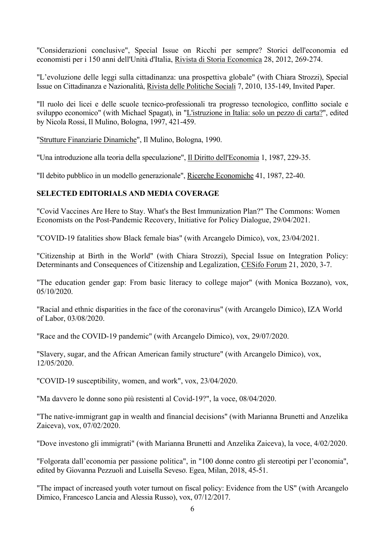"Considerazioni conclusive", Special Issue on Ricchi per sempre? Storici dell'economia ed economisti per i 150 anni dell'Unità d'Italia, Rivista di Storia Economica 28, 2012, 269-274.

"L'evoluzione delle leggi sulla cittadinanza: una prospettiva globale" (with Chiara Strozzi), Special Issue on Cittadinanza e Nazionalità, Rivista delle Politiche Sociali 7, 2010, 135-149, Invited Paper.

"Il ruolo dei licei e delle scuole tecnico-professionali tra progresso tecnologico, conflitto sociale e sviluppo economico" (with Michael Spagat), in "L'istruzione in Italia: solo un pezzo di carta?", edited by Nicola Rossi, Il Mulino, Bologna, 1997, 421-459.

"Strutture Finanziarie Dinamiche", Il Mulino, Bologna, 1990.

"Una introduzione alla teoria della speculazione", Il Diritto dell'Economia 1, 1987, 229-35.

"Il debito pubblico in un modello generazionale", Ricerche Economiche 41, 1987, 22-40.

## **SELECTED EDITORIALS AND MEDIA COVERAGE**

"Covid Vaccines Are Here to Stay. What's the Best Immunization Plan?" The Commons: Women Economists on the Post-Pandemic Recovery, Initiative for Policy Dialogue, 29/04/2021.

"COVID-19 fatalities show Black female bias" (with Arcangelo Dimico), vox, 23/04/2021.

"Citizenship at Birth in the World" (with Chiara Strozzi), Special Issue on Integration Policy: Determinants and Consequences of Citizenship and Legalization, CESifo Forum 21, 2020, 3-7.

"The education gender gap: From basic literacy to college major" (with Monica Bozzano), vox, 05/10/2020.

"Racial and ethnic disparities in the face of the coronavirus" (with Arcangelo Dimico), IZA World of Labor, 03/08/2020.

"Race and the COVID-19 pandemic" (with Arcangelo Dimico), vox, 29/07/2020.

"Slavery, sugar, and the African American family structure" (with Arcangelo Dimico), vox, 12/05/2020.

"COVID-19 susceptibility, women, and work", vox, 23/04/2020.

"Ma davvero le donne sono più resistenti al Covid-19?", la voce, 08/04/2020.

"The native-immigrant gap in wealth and financial decisions" (with Marianna Brunetti and Anzelika Zaiceva), vox, 07/02/2020.

"Dove investono gli immigrati" (with Marianna Brunetti and Anzelika Zaiceva), la voce, 4/02/2020.

"Folgorata dall'economia per passione politica", in "100 donne contro gli stereotipi per l'economia", edited by Giovanna Pezzuoli and Luisella Seveso. Egea, Milan, 2018, 45-51.

"The impact of increased youth voter turnout on fiscal policy: Evidence from the US" (with Arcangelo Dimico, Francesco Lancia and Alessia Russo), vox, 07/12/2017.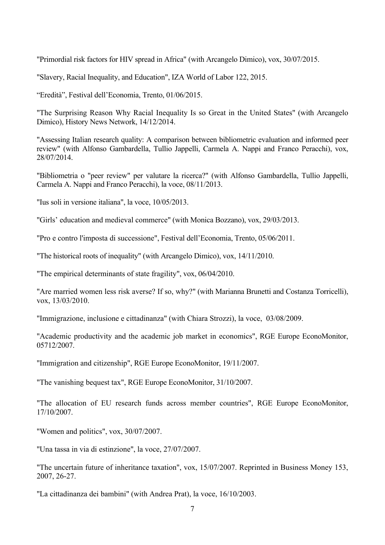"Primordial risk factors for HIV spread in Africa" (with Arcangelo Dimico), vox, 30/07/2015.

"Slavery, Racial Inequality, and Education", IZA World of Labor 122, 2015.

"Eredità", Festival dell'Economia, Trento, 01/06/2015.

"The Surprising Reason Why Racial Inequality Is so Great in the United States" (with Arcangelo Dimico), History News Network, 14/12/2014.

"Assessing Italian research quality: A comparison between bibliometric evaluation and informed peer review" (with Alfonso Gambardella, Tullio Jappelli, Carmela A. Nappi and Franco Peracchi), vox, 28/07/2014.

"Bibliometria o "peer review" per valutare la ricerca?" (with Alfonso Gambardella, Tullio Jappelli, Carmela A. Nappi and Franco Peracchi), la voce, 08/11/2013.

"Ius soli in versione italiana", la voce, 10/05/2013.

"Girls' education and medieval commerce" (with Monica Bozzano), vox, 29/03/2013.

"Pro e contro l'imposta di successione", Festival dell'Economia, Trento, 05/06/2011.

"The historical roots of inequality" (with Arcangelo Dimico), vox, 14/11/2010.

"The empirical determinants of state fragility", vox, 06/04/2010.

"Are married women less risk averse? If so, why?" (with Marianna Brunetti and Costanza Torricelli), vox, 13/03/2010.

"Immigrazione, inclusione e cittadinanza" (with Chiara Strozzi), la voce, 03/08/2009.

"Academic productivity and the academic job market in economics", RGE Europe EconoMonitor, 05712/2007.

"Immigration and citizenship", RGE Europe EconoMonitor, 19/11/2007.

"The vanishing bequest tax", RGE Europe EconoMonitor, 31/10/2007.

"The allocation of EU research funds across member countries", RGE Europe EconoMonitor, 17/10/2007.

"Women and politics", vox, 30/07/2007.

"Una tassa in via di estinzione", la voce, 27/07/2007.

"The uncertain future of inheritance taxation", vox, 15/07/2007. Reprinted in Business Money 153, 2007, 26-27.

"La cittadinanza dei bambini" (with Andrea Prat), la voce, 16/10/2003.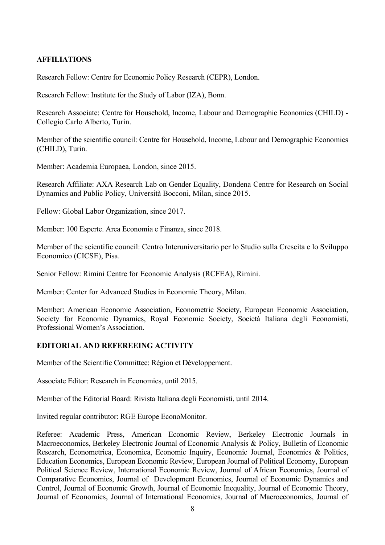# **AFFILIATIONS**

Research Fellow: Centre for Economic Policy Research (CEPR), London.

Research Fellow: Institute for the Study of Labor (IZA), Bonn.

Research Associate: Centre for Household, Income, Labour and Demographic Economics (CHILD) - Collegio Carlo Alberto, Turin.

Member of the scientific council: Centre for Household, Income, Labour and Demographic Economics (CHILD), Turin.

Member: Academia Europaea, London, since 2015.

Research Affiliate: AXA Research Lab on Gender Equality, Dondena Centre for Research on Social Dynamics and Public Policy, Università Bocconi, Milan, since 2015.

Fellow: Global Labor Organization, since 2017.

Member: 100 Esperte. Area Economia e Finanza, since 2018.

Member of the scientific council: Centro Interuniversitario per lo Studio sulla Crescita e lo Sviluppo Economico (CICSE), Pisa.

Senior Fellow: Rimini Centre for Economic Analysis (RCFEA), Rimini.

Member: Center for Advanced Studies in Economic Theory, Milan.

Member: American Economic Association, Econometric Society, European Economic Association, Society for Economic Dynamics, Royal Economic Society, Società Italiana degli Economisti, Professional Women's Association.

## **EDITORIAL AND REFEREEING ACTIVITY**

Member of the Scientific Committee: Région et Développement.

Associate Editor: Research in Economics, until 2015.

Member of the Editorial Board: Rivista Italiana degli Economisti, until 2014.

Invited regular contributor: RGE Europe EconoMonitor.

Referee: Academic Press, American Economic Review, Berkeley Electronic Journals in Macroeconomics, Berkeley Electronic Journal of Economic Analysis & Policy, Bulletin of Economic Research, Econometrica, Economica, Economic Inquiry, Economic Journal, Economics & Politics, Education Economics, European Economic Review, European Journal of Political Economy, European Political Science Review, International Economic Review, Journal of African Economies, Journal of Comparative Economics, Journal of Development Economics, Journal of Economic Dynamics and Control, Journal of Economic Growth, Journal of Economic Inequality, Journal of Economic Theory, Journal of Economics, Journal of International Economics, Journal of Macroeconomics, Journal of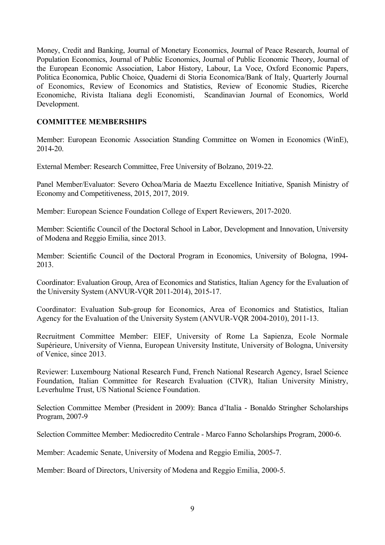Money, Credit and Banking, Journal of Monetary Economics, Journal of Peace Research, Journal of Population Economics, Journal of Public Economics, Journal of Public Economic Theory, Journal of the European Economic Association, Labor History, Labour, La Voce, Oxford Economic Papers, Politica Economica, Public Choice, Quaderni di Storia Economica/Bank of Italy, Quarterly Journal of Economics, Review of Economics and Statistics, Review of Economic Studies, Ricerche Economiche, Rivista Italiana degli Economisti,Scandinavian Journal of Economics, World Development.

# **COMMITTEE MEMBERSHIPS**

Member: European Economic Association Standing Committee on Women in Economics (WinE), 2014-20.

External Member: Research Committee, Free University of Bolzano, 2019-22.

Panel Member/Evaluator: Severo Ochoa/Maria de Maeztu Excellence Initiative, Spanish Ministry of Economy and Competitiveness, 2015, 2017, 2019.

Member: European Science Foundation College of Expert Reviewers, 2017-2020.

Member: Scientific Council of the Doctoral School in Labor, Development and Innovation, University of Modena and Reggio Emilia, since 2013.

Member: Scientific Council of the Doctoral Program in Economics, University of Bologna, 1994- 2013.

Coordinator: Evaluation Group, Area of Economics and Statistics, Italian Agency for the Evaluation of the University System (ANVUR-VQR 2011-2014), 2015-17.

Coordinator: Evaluation Sub-group for Economics, Area of Economics and Statistics, Italian Agency for the Evaluation of the University System (ANVUR-VQR 2004-2010), 2011-13.

Recruitment Committee Member: EIEF, University of Rome La Sapienza, Ecole Normale Supérieure, University of Vienna, European University Institute, University of Bologna, University of Venice, since 2013.

Reviewer: Luxembourg National Research Fund, French National Research Agency, Israel Science Foundation, Italian Committee for Research Evaluation (CIVR), Italian University Ministry, Leverhulme Trust, US National Science Foundation.

Selection Committee Member (President in 2009): Banca d'Italia - Bonaldo Stringher Scholarships Program, 2007-9

Selection Committee Member: Mediocredito Centrale - Marco Fanno Scholarships Program, 2000-6.

Member: Academic Senate, University of Modena and Reggio Emilia, 2005-7.

Member: Board of Directors, University of Modena and Reggio Emilia, 2000-5.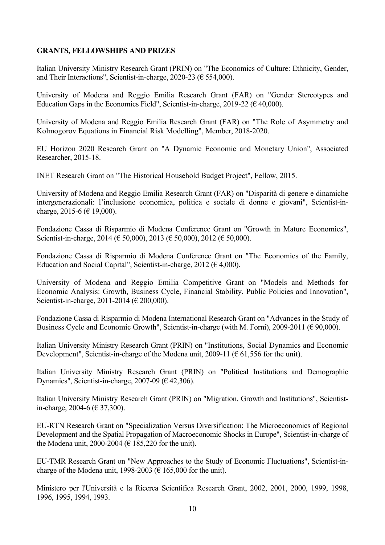## **GRANTS, FELLOWSHIPS AND PRIZES**

Italian University Ministry Research Grant (PRIN) on "The Economics of Culture: Ethnicity, Gender, and Their Interactions", Scientist-in-charge, 2020-23 ( $\epsilon$  554,000).

University of Modena and Reggio Emilia Research Grant (FAR) on "Gender Stereotypes and Education Gaps in the Economics Field", Scientist-in-charge, 2019-22 ( $\epsilon$  40,000).

University of Modena and Reggio Emilia Research Grant (FAR) on "The Role of Asymmetry and Kolmogorov Equations in Financial Risk Modelling", Member, 2018-2020.

EU Horizon 2020 Research Grant on "A Dynamic Economic and Monetary Union", Associated Researcher, 2015-18.

INET Research Grant on "The Historical Household Budget Project", Fellow, 2015.

University of Modena and Reggio Emilia Research Grant (FAR) on "Disparità di genere e dinamiche intergenerazionali: l'inclusione economica, politica e sociale di donne e giovani", Scientist-incharge, 2015-6 ( $\in$  19,000).

Fondazione Cassa di Risparmio di Modena Conference Grant on "Growth in Mature Economies", Scientist-in-charge, 2014 ( $\in$  50,000), 2013 ( $\in$  50,000), 2012 ( $\in$  50,000).

Fondazione Cassa di Risparmio di Modena Conference Grant on "The Economics of the Family, Education and Social Capital", Scientist-in-charge, 2012 ( $\epsilon$  4,000).

University of Modena and Reggio Emilia Competitive Grant on "Models and Methods for Economic Analysis: Growth, Business Cycle, Financial Stability, Public Policies and Innovation", Scientist-in-charge, 2011-2014 (€ 200,000).

Fondazione Cassa di Risparmio di Modena International Research Grant on "Advances in the Study of Business Cycle and Economic Growth", Scientist-in-charge (with M. Forni), 2009-2011 ( $\in$  90,000).

Italian University Ministry Research Grant (PRIN) on "Institutions, Social Dynamics and Economic Development", Scientist-in-charge of the Modena unit, 2009-11 ( $\epsilon$  61,556 for the unit).

Italian University Ministry Research Grant (PRIN) on "Political Institutions and Demographic Dynamics", Scientist-in-charge,  $2007-09$  ( $\in$  42,306).

Italian University Ministry Research Grant (PRIN) on "Migration, Growth and Institutions", Scientistin-charge, 2004-6 (€ 37,300).

EU-RTN Research Grant on "Specialization Versus Diversification: The Microeconomics of Regional Development and the Spatial Propagation of Macroeconomic Shocks in Europe", Scientist-in-charge of the Modena unit, 2000-2004 ( $\in$  185,220 for the unit).

EU-TMR Research Grant on "New Approaches to the Study of Economic Fluctuations", Scientist-incharge of the Modena unit, 1998-2003 ( $\in$  165,000 for the unit).

Ministero per l'Università e la Ricerca Scientifica Research Grant, 2002, 2001, 2000, 1999, 1998, 1996, 1995, 1994, 1993.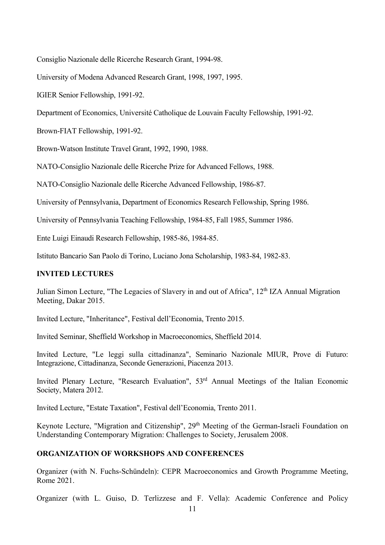Consiglio Nazionale delle Ricerche Research Grant, 1994-98.

University of Modena Advanced Research Grant, 1998, 1997, 1995.

IGIER Senior Fellowship, 1991-92.

Department of Economics, Université Catholique de Louvain Faculty Fellowship, 1991-92.

Brown-FIAT Fellowship, 1991-92.

Brown-Watson Institute Travel Grant, 1992, 1990, 1988.

NATO-Consiglio Nazionale delle Ricerche Prize for Advanced Fellows, 1988.

NATO-Consiglio Nazionale delle Ricerche Advanced Fellowship, 1986-87.

University of Pennsylvania, Department of Economics Research Fellowship, Spring 1986.

University of Pennsylvania Teaching Fellowship, 1984-85, Fall 1985, Summer 1986.

Ente Luigi Einaudi Research Fellowship, 1985-86, 1984-85.

Istituto Bancario San Paolo di Torino, Luciano Jona Scholarship, 1983-84, 1982-83.

#### **INVITED LECTURES**

Julian Simon Lecture, "The Legacies of Slavery in and out of Africa", 12<sup>th</sup> IZA Annual Migration Meeting, Dakar 2015.

Invited Lecture, "Inheritance", Festival dell'Economia, Trento 2015.

Invited Seminar, Sheffield Workshop in Macroeconomics, Sheffield 2014.

Invited Lecture, "Le leggi sulla cittadinanza", Seminario Nazionale MIUR, Prove di Futuro: Integrazione, Cittadinanza, Seconde Generazioni, Piacenza 2013.

Invited Plenary Lecture, "Research Evaluation", 53rd Annual Meetings of the Italian Economic Society, Matera 2012.

Invited Lecture, "Estate Taxation", Festival dell'Economia, Trento 2011.

Keynote Lecture, "Migration and Citizenship", 29<sup>th</sup> Meeting of the German-Israeli Foundation on Understanding Contemporary Migration: Challenges to Society, Jerusalem 2008.

#### **ORGANIZATION OF WORKSHOPS AND CONFERENCES**

Organizer (with N. Fuchs-Schündeln): CEPR Macroeconomics and Growth Programme Meeting, Rome 2021.

Organizer (with L. Guiso, D. Terlizzese and F. Vella): Academic Conference and Policy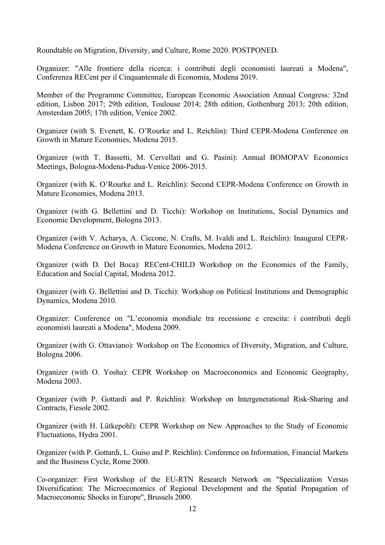Roundtable on Migration, Diversity, and Culture, Rome 2020. POSTPONED.

Organizer: "Alle frontiere della ricerca: i contributi degli economisti laureati a Modena", Conferenza RECent per il Cinquantennale di Economia, Modena 2019.

Member of the Programme Committee, European Economic Association Annual Congress: 32nd edition, Lisbon 2017; 29th edition, Toulouse 2014; 28th edition, Gothenburg 2013; 20th edition, Amsterdam 2005; 17th edition, Venice 2002.

Organizer (with S. Evenett, K. O'Rourke and L. Reichlin): Third CEPR-Modena Conference on Growth in Mature Economies, Modena 2015.

Organizer (with T. Bassetti, M. Cervellati and G. Pasini): Annual BOMOPAV Economics Meetings, Bologna-Modena-Padua-Venice 2006-2015.

Organizer (with K. O'Rourke and L. Reichlin): Second CEPR-Modena Conference on Growth in Mature Economies, Modena 2013.

Organizer (with G. Bellettini and D. Ticchi): Workshop on Institutions, Social Dynamics and Economic Development, Bologna 2013.

Organizer (with V. Acharya, A. Ciccone, N. Crafts, M. Ivaldi and L. Reichlin): Inaugural CEPR-Modena Conference on Growth in Mature Economies, Modena 2012.

Organizer (with D. Del Boca): RECent-CHILD Workshop on the Economics of the Family, Education and Social Capital, Modena 2012.

Organizer (with G. Bellettini and D. Ticchi): Workshop on Political Institutions and Demographic Dynamics, Modena 2010.

Organizer: Conference on "L'economia mondiale tra recessione e crescita: i contributi degli economisti laureati a Modena", Modena 2009.

Organizer (with G. Ottaviano): Workshop on The Economics of Diversity, Migration, and Culture, Bologna 2006.

Organizer (with O. Yosha): CEPR Workshop on Macroeconomics and Economic Geography, Modena 2003.

Organizer (with P. Gottardi and P. Reichlin): Workshop on Intergenerational Risk-Sharing and Contracts, Fiesole 2002.

Organizer (with H. Lütkepohl): CEPR Workshop on New Approaches to the Study of Economic Fluctuations, Hydra 2001.

Organizer (with P. Gottardi, L. Guiso and P. Reichlin): Conference on Information, Financial Markets and the Business Cycle, Rome 2000.

Co-organizer: First Workshop of the EU-RTN Research Network on "Specialization Versus Diversification: The Microeconomics of Regional Development and the Spatial Propagation of Macroeconomic Shocks in Europe", Brussels 2000.